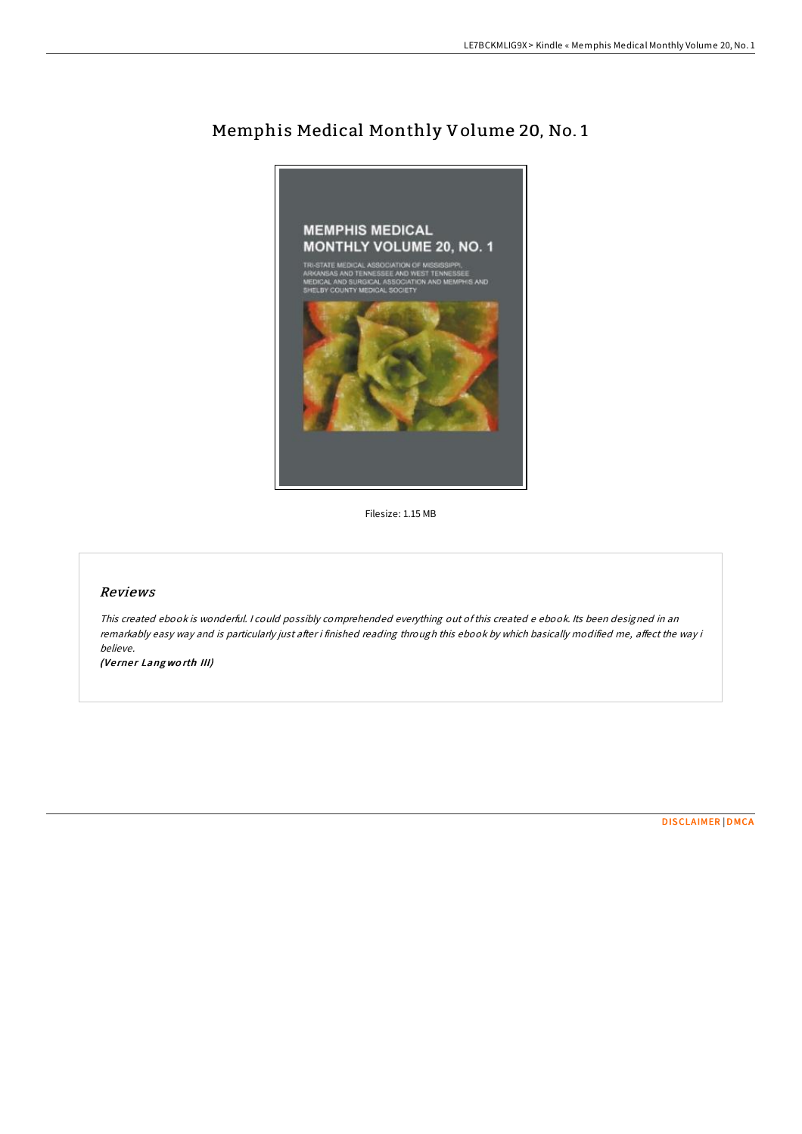

## Memphis Medical Monthly Volume 20, No. 1

Filesize: 1.15 MB

## Reviews

This created ebook is wonderful. <sup>I</sup> could possibly comprehended everything out ofthis created <sup>e</sup> ebook. Its been designed in an remarkably easy way and is particularly just after i finished reading through this ebook by which basically modified me, affect the way i believe.

(Verner Langworth III)

[DISCLAIMER](http://almighty24.tech/disclaimer.html) | [DMCA](http://almighty24.tech/dmca.html)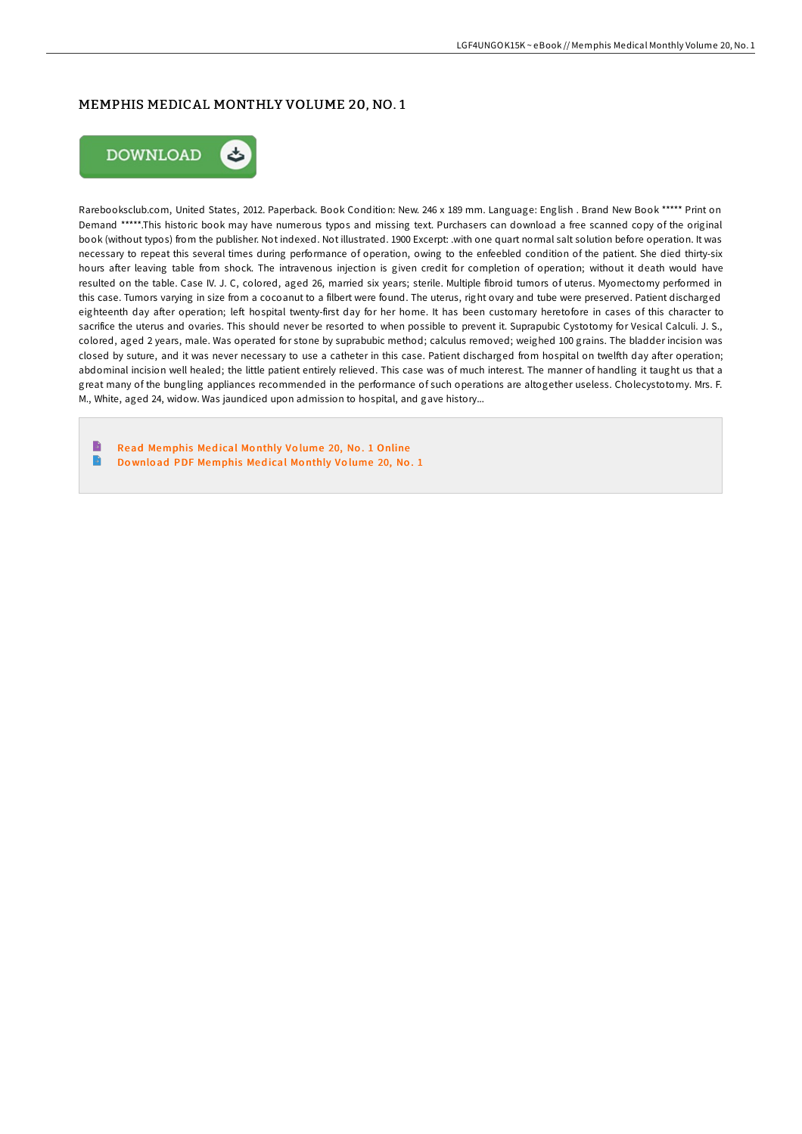## MEMPHIS MEDICAL MONTHLY VOLUME 20, NO. 1



Rarebooksclub.com, United States, 2012. Paperback. Book Condition: New. 246 x 189 mm. Language: English . Brand New Book \*\*\*\*\* Print on Demand \*\*\*\*\*.This historic book may have numerous typos and missing text. Purchasers can download a free scanned copy of the original book (without typos) from the publisher. Not indexed. Not illustrated. 1900 Excerpt: .with one quart normal salt solution before operation. It was necessary to repeat this several times during performance of operation, owing to the enfeebled condition of the patient. She died thirty-six hours after leaving table from shock. The intravenous injection is given credit for completion of operation; without it death would have resulted on the table. Case IV. J. C, colored, aged 26, married six years; sterile. Multiple fibroid tumors of uterus. Myomectomy performed in this case. Tumors varying in size from a cocoanut to a filbert were found. The uterus, right ovary and tube were preserved. Patient discharged eighteenth day after operation; left hospital twenty-first day for her home. It has been customary heretofore in cases of this character to sacrifice the uterus and ovaries. This should never be resorted to when possible to prevent it. Suprapubic Cystotomy for Vesical Calculi. J. S., colored, aged 2 years, male. Was operated for stone by suprabubic method; calculus removed; weighed 100 grains. The bladder incision was closed by suture, and it was never necessary to use a catheter in this case. Patient discharged from hospital on twelfth day after operation; abdominal incision well healed; the little patient entirely relieved. This case was of much interest. The manner of handling it taught us that a great many of the bungling appliances recommended in the performance of such operations are altogether useless. Cholecystotomy. Mrs. F. M., White, aged 24, widow. Was jaundiced upon admission to hospital, and gave history...

Read [Memphis](http://almighty24.tech/memphis-medical-monthly-volume-20-no-1-paperback.html) Medical Monthly Volume 20, No. 1 Online  $\rightarrow$ Do wnlo ad PDF [Memphis](http://almighty24.tech/memphis-medical-monthly-volume-20-no-1-paperback.html) Med ical Mo nthly Vo lume 20, No . 1